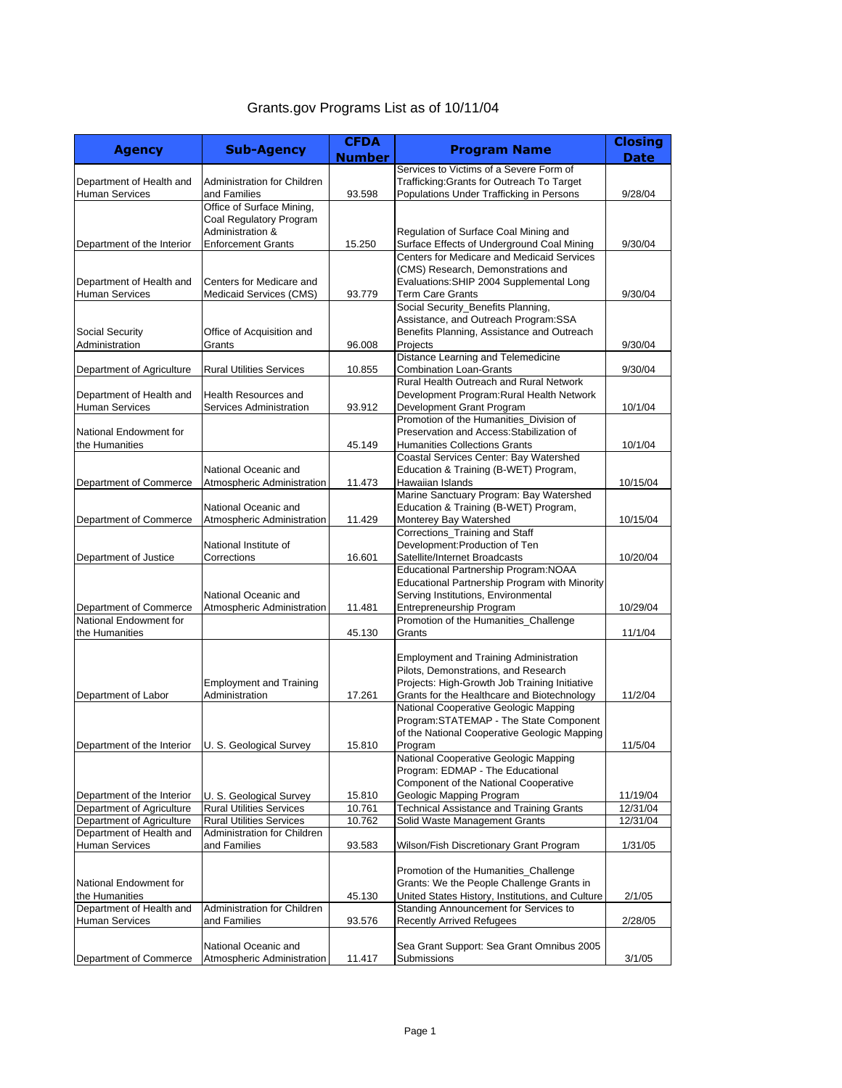## Grants.gov Programs List as of 10/11/04

|                                                    |                                 | <b>CFDA</b>   |                                                                                          | <b>Closing</b> |
|----------------------------------------------------|---------------------------------|---------------|------------------------------------------------------------------------------------------|----------------|
| <b>Agency</b>                                      | <b>Sub-Agency</b>               | <b>Number</b> | <b>Program Name</b>                                                                      | <b>Date</b>    |
|                                                    |                                 |               | Services to Victims of a Severe Form of                                                  |                |
| Department of Health and                           | Administration for Children     |               | Trafficking: Grants for Outreach To Target                                               |                |
| <b>Human Services</b>                              | and Families                    | 93.598        | Populations Under Trafficking in Persons                                                 | 9/28/04        |
|                                                    | Office of Surface Mining,       |               |                                                                                          |                |
|                                                    | Coal Regulatory Program         |               |                                                                                          |                |
|                                                    | Administration &                |               | Regulation of Surface Coal Mining and                                                    |                |
| Department of the Interior                         | <b>Enforcement Grants</b>       | 15.250        | Surface Effects of Underground Coal Mining<br>Centers for Medicare and Medicaid Services | 9/30/04        |
|                                                    |                                 |               | (CMS) Research, Demonstrations and                                                       |                |
| Department of Health and                           | Centers for Medicare and        |               | Evaluations: SHIP 2004 Supplemental Long                                                 |                |
|                                                    | Medicaid Services (CMS)         | 93.779        | <b>Term Care Grants</b>                                                                  | 9/30/04        |
| <b>Human Services</b>                              |                                 |               | Social Security_Benefits Planning,                                                       |                |
|                                                    |                                 |               | Assistance, and Outreach Program:SSA                                                     |                |
| Social Security                                    | Office of Acquisition and       |               | Benefits Planning, Assistance and Outreach                                               |                |
| Administration                                     | Grants                          | 96.008        | Projects                                                                                 | 9/30/04        |
|                                                    |                                 |               | Distance Learning and Telemedicine                                                       |                |
| Department of Agriculture                          | <b>Rural Utilities Services</b> | 10.855        | <b>Combination Loan-Grants</b>                                                           | 9/30/04        |
|                                                    |                                 |               | Rural Health Outreach and Rural Network                                                  |                |
| Department of Health and                           | <b>Health Resources and</b>     |               | Development Program: Rural Health Network                                                |                |
| <b>Human Services</b>                              | Services Administration         | 93.912        | Development Grant Program                                                                | 10/1/04        |
|                                                    |                                 |               | Promotion of the Humanities Division of                                                  |                |
| National Endowment for                             |                                 |               | Preservation and Access: Stabilization of                                                |                |
| the Humanities                                     |                                 | 45.149        | <b>Humanities Collections Grants</b>                                                     | 10/1/04        |
|                                                    |                                 |               | Coastal Services Center: Bay Watershed                                                   |                |
|                                                    | National Oceanic and            |               | Education & Training (B-WET) Program,                                                    |                |
| Department of Commerce                             | Atmospheric Administration      | 11.473        | Hawaiian Islands                                                                         | 10/15/04       |
|                                                    |                                 |               | Marine Sanctuary Program: Bay Watershed                                                  |                |
|                                                    | National Oceanic and            |               | Education & Training (B-WET) Program,                                                    |                |
| Department of Commerce                             | Atmospheric Administration      | 11.429        | Monterey Bay Watershed                                                                   | 10/15/04       |
|                                                    |                                 |               | Corrections_Training and Staff                                                           |                |
|                                                    | National Institute of           |               | Development: Production of Ten                                                           |                |
| Department of Justice                              | Corrections                     | 16.601        | Satellite/Internet Broadcasts                                                            | 10/20/04       |
|                                                    |                                 |               | Educational Partnership Program: NOAA                                                    |                |
|                                                    |                                 |               | Educational Partnership Program with Minority                                            |                |
|                                                    | National Oceanic and            |               | Serving Institutions, Environmental                                                      |                |
| Department of Commerce                             | Atmospheric Administration      | 11.481        | Entrepreneurship Program                                                                 | 10/29/04       |
| National Endowment for                             |                                 |               | Promotion of the Humanities_Challenge                                                    |                |
| the Humanities                                     |                                 | 45.130        | Grants                                                                                   | 11/1/04        |
|                                                    |                                 |               |                                                                                          |                |
|                                                    |                                 |               | <b>Employment and Training Administration</b>                                            |                |
|                                                    |                                 |               | Pilots, Demonstrations, and Research                                                     |                |
|                                                    | <b>Employment and Training</b>  |               | Projects: High-Growth Job Training Initiative                                            |                |
| Department of Labor                                | Administration                  | 17.261        | Grants for the Healthcare and Biotechnology                                              | 11/2/04        |
|                                                    |                                 |               | National Cooperative Geologic Mapping                                                    |                |
|                                                    |                                 |               | Program: STATEMAP - The State Component                                                  |                |
|                                                    |                                 |               | of the National Cooperative Geologic Mapping                                             |                |
| Department of the Interior U. S. Geological Survey |                                 | 15.810        | Program                                                                                  | 11/5/04        |
|                                                    |                                 |               | National Cooperative Geologic Mapping<br>Program: EDMAP - The Educational                |                |
|                                                    |                                 |               | Component of the National Cooperative                                                    |                |
| Department of the Interior                         | U. S. Geological Survey         | 15.810        | Geologic Mapping Program                                                                 | 11/19/04       |
| Department of Agriculture                          | <b>Rural Utilities Services</b> | 10.761        | <b>Technical Assistance and Training Grants</b>                                          | 12/31/04       |
| Department of Agriculture                          | <b>Rural Utilities Services</b> | 10.762        | Solid Waste Management Grants                                                            | 12/31/04       |
| Department of Health and                           | Administration for Children     |               |                                                                                          |                |
| <b>Human Services</b>                              | and Families                    | 93.583        | Wilson/Fish Discretionary Grant Program                                                  | 1/31/05        |
|                                                    |                                 |               |                                                                                          |                |
|                                                    |                                 |               | Promotion of the Humanities_Challenge                                                    |                |
| National Endowment for                             |                                 |               | Grants: We the People Challenge Grants in                                                |                |
| the Humanities                                     |                                 | 45.130        | United States History, Institutions, and Culture                                         | 2/1/05         |
| Department of Health and                           | Administration for Children     |               | Standing Announcement for Services to                                                    |                |
| <b>Human Services</b>                              | and Families                    | 93.576        | <b>Recently Arrived Refugees</b>                                                         | 2/28/05        |
|                                                    |                                 |               |                                                                                          |                |
|                                                    | National Oceanic and            |               | Sea Grant Support: Sea Grant Omnibus 2005                                                |                |
| Department of Commerce                             | Atmospheric Administration      | 11.417        | Submissions                                                                              | 3/1/05         |
|                                                    |                                 |               |                                                                                          |                |